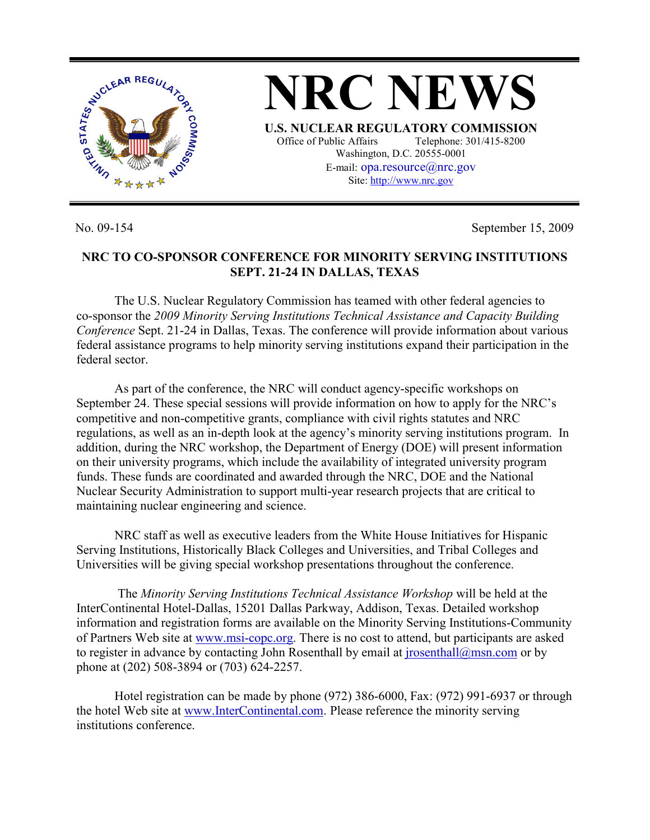

**NRC NEWS U.S. NUCLEAR REGULATORY COMMISSION** Office of Public Affairs Telephone: 301/415-8200 Washington, D.C. 20555-0001 E-mail:  $opa$ resource $@$ nrc.gov Site: http://www.nrc.gov

No. 09-154 September 15, 2009

## **NRC TO CO-SPONSOR CONFERENCE FOR MINORITY SERVING INSTITUTIONS SEPT. 21-24 IN DALLAS, TEXAS**

 The U.S. Nuclear Regulatory Commission has teamed with other federal agencies to co-sponsor the *2009 Minority Serving Institutions Technical Assistance and Capacity Building Conference* Sept. 21-24 in Dallas, Texas. The conference will provide information about various federal assistance programs to help minority serving institutions expand their participation in the federal sector.

 As part of the conference, the NRC will conduct agency-specific workshops on September 24. These special sessions will provide information on how to apply for the NRC's competitive and non-competitive grants, compliance with civil rights statutes and NRC regulations, as well as an in-depth look at the agency's minority serving institutions program. In addition, during the NRC workshop, the Department of Energy (DOE) will present information on their university programs, which include the availability of integrated university program funds. These funds are coordinated and awarded through the NRC, DOE and the National Nuclear Security Administration to support multi-year research projects that are critical to maintaining nuclear engineering and science.

 NRC staff as well as executive leaders from the White House Initiatives for Hispanic Serving Institutions, Historically Black Colleges and Universities, and Tribal Colleges and Universities will be giving special workshop presentations throughout the conference.

 The *Minority Serving Institutions Technical Assistance Workshop* will be held at the InterContinental Hotel-Dallas, 15201 Dallas Parkway, Addison, Texas. Detailed workshop information and registration forms are available on the Minority Serving Institutions-Community of Partners Web site at www.msi-copc.org. There is no cost to attend, but participants are asked to register in advance by contacting John Rosenthall by email at  $\frac{1}{10}$  rosenthall  $\frac{a}{m}$  msn.com or by phone at (202) 508-3894 or (703) 624-2257.

 Hotel registration can be made by phone (972) 386-6000, Fax: (972) 991-6937 or through the hotel Web site at www.InterContinental.com. Please reference the minority serving institutions conference.